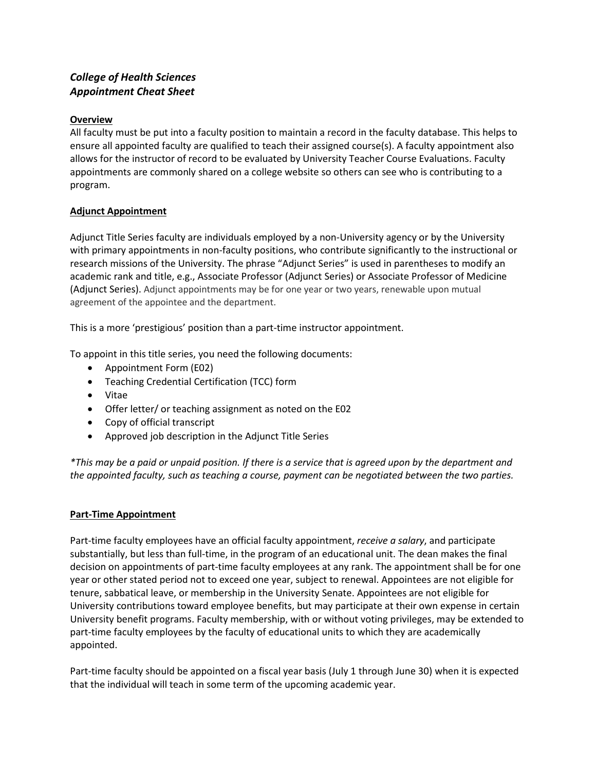# *College of Health Sciences Appointment Cheat Sheet*

## **Overview**

All faculty must be put into a faculty position to maintain a record in the faculty database. This helps to ensure all appointed faculty are qualified to teach their assigned course(s). A faculty appointment also allows for the instructor of record to be evaluated by University Teacher Course Evaluations. Faculty appointments are commonly shared on a college website so others can see who is contributing to a program.

## **Adjunct Appointment**

Adjunct Title Series faculty are individuals employed by a non-University agency or by the University with primary appointments in non-faculty positions, who contribute significantly to the instructional or research missions of the University. The phrase "Adjunct Series" is used in parentheses to modify an academic rank and title, e.g., Associate Professor (Adjunct Series) or Associate Professor of Medicine (Adjunct Series). Adjunct appointments may be for one year or two years, renewable upon mutual agreement of the appointee and the department.

This is a more 'prestigious' position than a part-time instructor appointment.

To appoint in this title series, you need the following documents:

- Appointment Form (E02)
- Teaching Credential Certification (TCC) form
- Vitae
- Offer letter/ or teaching assignment as noted on the E02
- Copy of official transcript
- Approved job description in the Adjunct Title Series

*\*This may be a paid or unpaid position. If there is a service that is agreed upon by the department and the appointed faculty, such as teaching a course, payment can be negotiated between the two parties.* 

### **Part-Time Appointment**

Part-time faculty employees have an official faculty appointment, *receive a salary*, and participate substantially, but less than full-time, in the program of an educational unit. The dean makes the final decision on appointments of part-time faculty employees at any rank. The appointment shall be for one year or other stated period not to exceed one year, subject to renewal. Appointees are not eligible for tenure, sabbatical leave, or membership in the University Senate. Appointees are not eligible for University contributions toward employee benefits, but may participate at their own expense in certain University benefit programs. Faculty membership, with or without voting privileges, may be extended to part-time faculty employees by the faculty of educational units to which they are academically appointed.

Part-time faculty should be appointed on a fiscal year basis (July 1 through June 30) when it is expected that the individual will teach in some term of the upcoming academic year.